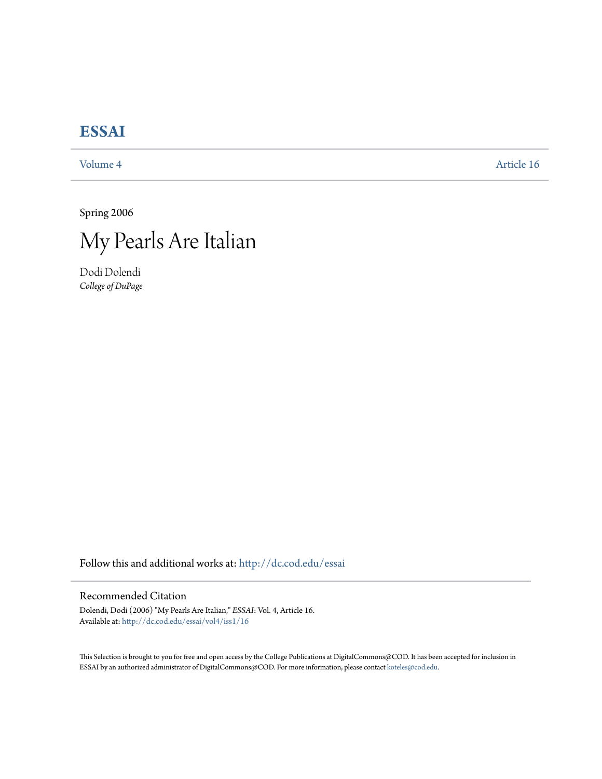# **[ESSAI](http://dc.cod.edu/essai?utm_source=dc.cod.edu%2Fessai%2Fvol4%2Fiss1%2F16&utm_medium=PDF&utm_campaign=PDFCoverPages)**

[Volume 4](http://dc.cod.edu/essai/vol4?utm_source=dc.cod.edu%2Fessai%2Fvol4%2Fiss1%2F16&utm_medium=PDF&utm_campaign=PDFCoverPages) [Article 16](http://dc.cod.edu/essai/vol4/iss1/16?utm_source=dc.cod.edu%2Fessai%2Fvol4%2Fiss1%2F16&utm_medium=PDF&utm_campaign=PDFCoverPages)

Spring 2006



Dodi Dolendi *College of DuPage*

Follow this and additional works at: [http://dc.cod.edu/essai](http://dc.cod.edu/essai?utm_source=dc.cod.edu%2Fessai%2Fvol4%2Fiss1%2F16&utm_medium=PDF&utm_campaign=PDFCoverPages)

# Recommended Citation

Dolendi, Dodi (2006) "My Pearls Are Italian," *ESSAI*: Vol. 4, Article 16. Available at: [http://dc.cod.edu/essai/vol4/iss1/16](http://dc.cod.edu/essai/vol4/iss1/16?utm_source=dc.cod.edu%2Fessai%2Fvol4%2Fiss1%2F16&utm_medium=PDF&utm_campaign=PDFCoverPages)

This Selection is brought to you for free and open access by the College Publications at DigitalCommons@COD. It has been accepted for inclusion in ESSAI by an authorized administrator of DigitalCommons@COD. For more information, please contact [koteles@cod.edu](mailto:koteles@cod.edu).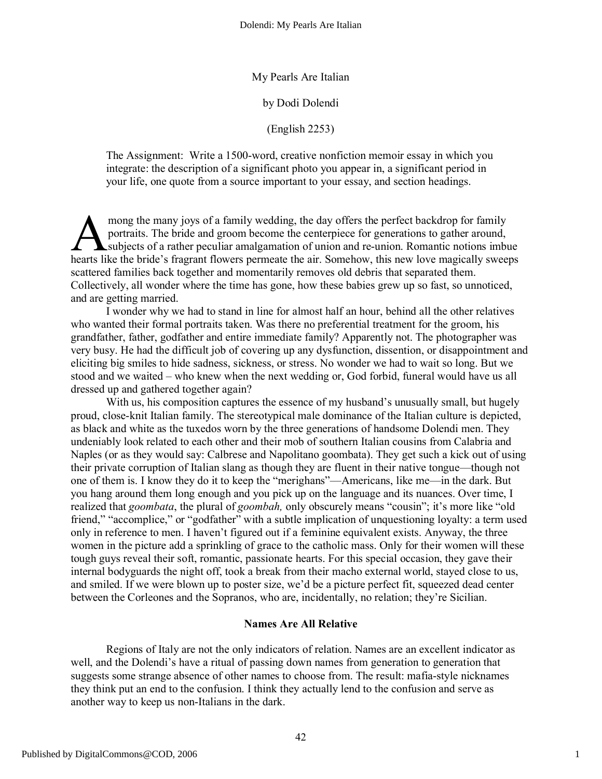My Pearls Are Italian

by Dodi Dolendi

(English 2253)

The Assignment: Write a 1500-word, creative nonfiction memoir essay in which you integrate: the description of a significant photo you appear in, a significant period in your life, one quote from a source important to your essay, and section headings.

mong the many joys of a family wedding, the day offers the perfect backdrop for family portraits. The bride and groom become the centerpiece for generations to gather around, subjects of a rather peculiar amalgamation of union and re-union. Romantic notions imbue mong the many joys of a family wedding, the day offers the perfect backdrop for family portraits. The bride and groom become the centerpiece for generations to gather around, subjects of a rather peculiar amalgamation of u scattered families back together and momentarily removes old debris that separated them. Collectively, all wonder where the time has gone, how these babies grew up so fast, so unnoticed, and are getting married.

I wonder why we had to stand in line for almost half an hour, behind all the other relatives who wanted their formal portraits taken. Was there no preferential treatment for the groom, his grandfather, father, godfather and entire immediate family? Apparently not. The photographer was very busy. He had the difficult job of covering up any dysfunction, dissention, or disappointment and eliciting big smiles to hide sadness, sickness, or stress. No wonder we had to wait so long. But we stood and we waited – who knew when the next wedding or, God forbid, funeral would have us all dressed up and gathered together again?

With us, his composition captures the essence of my husband's unusually small, but hugely proud, close-knit Italian family. The stereotypical male dominance of the Italian culture is depicted, as black and white as the tuxedos worn by the three generations of handsome Dolendi men. They undeniably look related to each other and their mob of southern Italian cousins from Calabria and Naples (or as they would say: Calbrese and Napolitano goombata). They get such a kick out of using their private corruption of Italian slang as though they are fluent in their native tongue—though not one of them is. I know they do it to keep the "merighans"—Americans, like me—in the dark. But you hang around them long enough and you pick up on the language and its nuances. Over time, I realized that *goombata*, the plural of *goombah,* only obscurely means "cousin"; it's more like "old friend," "accomplice," or "godfather" with a subtle implication of unquestioning loyalty: a term used only in reference to men. I haven't figured out if a feminine equivalent exists. Anyway, the three women in the picture add a sprinkling of grace to the catholic mass. Only for their women will these tough guys reveal their soft, romantic, passionate hearts. For this special occasion, they gave their internal bodyguards the night off, took a break from their macho external world, stayed close to us, and smiled. If we were blown up to poster size, we'd be a picture perfect fit, squeezed dead center between the Corleones and the Sopranos, who are, incidentally, no relation; they're Sicilian.

# **Names Are All Relative**

Regions of Italy are not the only indicators of relation. Names are an excellent indicator as well, and the Dolendi's have a ritual of passing down names from generation to generation that suggests some strange absence of other names to choose from. The result: mafia-style nicknames they think put an end to the confusion. I think they actually lend to the confusion and serve as another way to keep us non-Italians in the dark.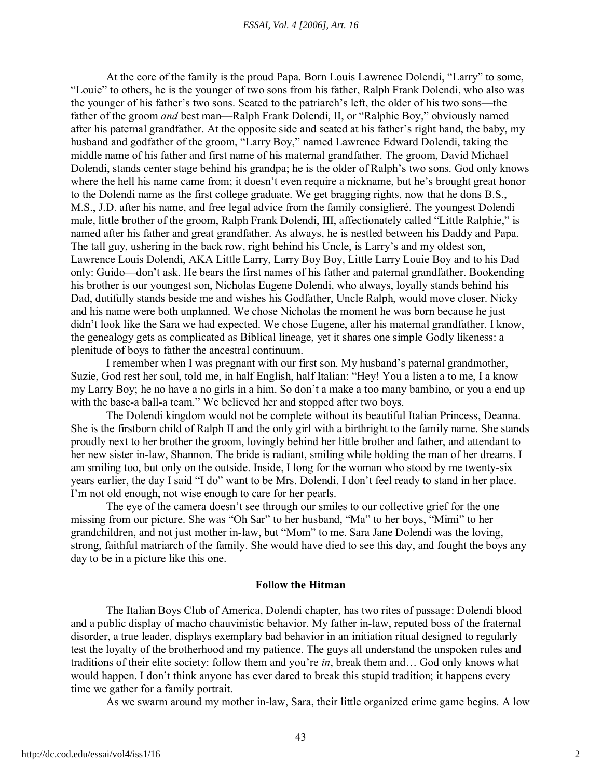#### *ESSAI, Vol. 4 [2006], Art. 16*

At the core of the family is the proud Papa. Born Louis Lawrence Dolendi, "Larry" to some, "Louie" to others, he is the younger of two sons from his father, Ralph Frank Dolendi, who also was the younger of his father's two sons. Seated to the patriarch's left, the older of his two sons—the father of the groom *and* best man—Ralph Frank Dolendi, II, or "Ralphie Boy," obviously named after his paternal grandfather. At the opposite side and seated at his father's right hand, the baby, my husband and godfather of the groom, "Larry Boy," named Lawrence Edward Dolendi, taking the middle name of his father and first name of his maternal grandfather. The groom, David Michael Dolendi, stands center stage behind his grandpa; he is the older of Ralph's two sons. God only knows where the hell his name came from; it doesn't even require a nickname, but he's brought great honor to the Dolendi name as the first college graduate. We get bragging rights, now that he dons B.S., M.S., J.D. after his name, and free legal advice from the family consiglieré. The youngest Dolendi male, little brother of the groom, Ralph Frank Dolendi, III, affectionately called "Little Ralphie," is named after his father and great grandfather. As always, he is nestled between his Daddy and Papa. The tall guy, ushering in the back row, right behind his Uncle, is Larry's and my oldest son, Lawrence Louis Dolendi, AKA Little Larry, Larry Boy Boy, Little Larry Louie Boy and to his Dad only: Guido—don't ask. He bears the first names of his father and paternal grandfather. Bookending his brother is our youngest son, Nicholas Eugene Dolendi, who always, loyally stands behind his Dad, dutifully stands beside me and wishes his Godfather, Uncle Ralph, would move closer. Nicky and his name were both unplanned. We chose Nicholas the moment he was born because he just didn't look like the Sara we had expected. We chose Eugene, after his maternal grandfather. I know, the genealogy gets as complicated as Biblical lineage, yet it shares one simple Godly likeness: a plenitude of boys to father the ancestral continuum.

I remember when I was pregnant with our first son. My husband's paternal grandmother, Suzie, God rest her soul, told me, in half English, half Italian: "Hey! You a listen a to me, I a know my Larry Boy; he no have a no girls in a him. So don't a make a too many bambino, or you a end up with the base-a ball-a team." We believed her and stopped after two boys.

The Dolendi kingdom would not be complete without its beautiful Italian Princess, Deanna. She is the firstborn child of Ralph II and the only girl with a birthright to the family name. She stands proudly next to her brother the groom, lovingly behind her little brother and father, and attendant to her new sister in-law, Shannon. The bride is radiant, smiling while holding the man of her dreams. I am smiling too, but only on the outside. Inside, I long for the woman who stood by me twenty-six years earlier, the day I said "I do" want to be Mrs. Dolendi. I don't feel ready to stand in her place. I'm not old enough, not wise enough to care for her pearls.

The eye of the camera doesn't see through our smiles to our collective grief for the one missing from our picture. She was "Oh Sar" to her husband, "Ma" to her boys, "Mimi" to her grandchildren, and not just mother in-law, but "Mom" to me. Sara Jane Dolendi was the loving, strong, faithful matriarch of the family. She would have died to see this day, and fought the boys any day to be in a picture like this one.

#### **Follow the Hitman**

The Italian Boys Club of America, Dolendi chapter, has two rites of passage: Dolendi blood and a public display of macho chauvinistic behavior. My father in-law, reputed boss of the fraternal disorder, a true leader, displays exemplary bad behavior in an initiation ritual designed to regularly test the loyalty of the brotherhood and my patience. The guys all understand the unspoken rules and traditions of their elite society: follow them and you're *in*, break them and… God only knows what would happen. I don't think anyone has ever dared to break this stupid tradition; it happens every time we gather for a family portrait.

As we swarm around my mother in-law, Sara, their little organized crime game begins. A low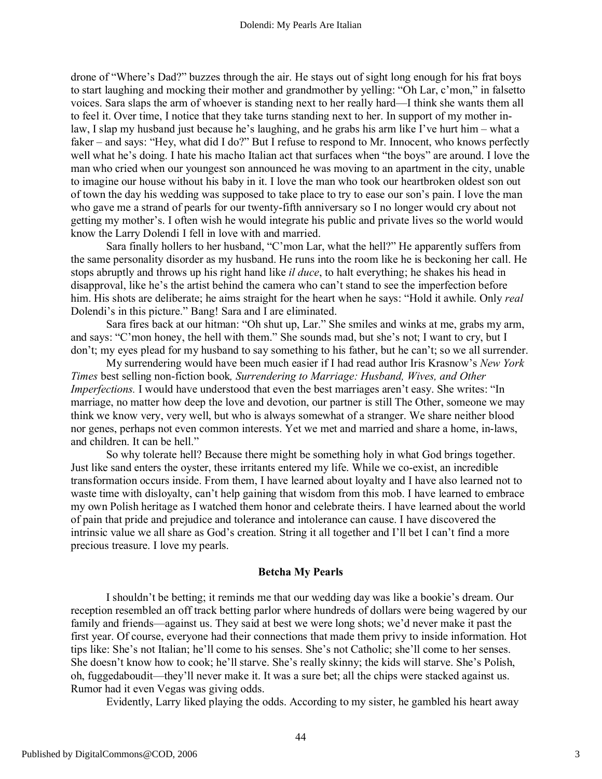drone of "Where's Dad?" buzzes through the air. He stays out of sight long enough for his frat boys to start laughing and mocking their mother and grandmother by yelling: "Oh Lar, c'mon," in falsetto voices. Sara slaps the arm of whoever is standing next to her really hard—I think she wants them all to feel it. Over time, I notice that they take turns standing next to her. In support of my mother inlaw, I slap my husband just because he's laughing, and he grabs his arm like I've hurt him – what a faker – and says: "Hey, what did I do?" But I refuse to respond to Mr. Innocent, who knows perfectly well what he's doing. I hate his macho Italian act that surfaces when "the boys" are around. I love the man who cried when our youngest son announced he was moving to an apartment in the city, unable to imagine our house without his baby in it. I love the man who took our heartbroken oldest son out of town the day his wedding was supposed to take place to try to ease our son's pain. I love the man who gave me a strand of pearls for our twenty-fifth anniversary so I no longer would cry about not getting my mother's. I often wish he would integrate his public and private lives so the world would know the Larry Dolendi I fell in love with and married.

Sara finally hollers to her husband, "C'mon Lar, what the hell?" He apparently suffers from the same personality disorder as my husband. He runs into the room like he is beckoning her call. He stops abruptly and throws up his right hand like *il duce*, to halt everything; he shakes his head in disapproval, like he's the artist behind the camera who can't stand to see the imperfection before him. His shots are deliberate; he aims straight for the heart when he says: "Hold it awhile. Only *real* Dolendi's in this picture." Bang! Sara and I are eliminated.

Sara fires back at our hitman: "Oh shut up, Lar." She smiles and winks at me, grabs my arm, and says: "C'mon honey, the hell with them." She sounds mad, but she's not; I want to cry, but I don't; my eyes plead for my husband to say something to his father, but he can't; so we all surrender.

My surrendering would have been much easier if I had read author Iris Krasnow's *New York Times* best selling non-fiction book*, Surrendering to Marriage: Husband, Wives, and Other Imperfections.* I would have understood that even the best marriages aren't easy. She writes: "In marriage, no matter how deep the love and devotion, our partner is still The Other, someone we may think we know very, very well, but who is always somewhat of a stranger. We share neither blood nor genes, perhaps not even common interests. Yet we met and married and share a home, in-laws, and children. It can be hell."

So why tolerate hell? Because there might be something holy in what God brings together. Just like sand enters the oyster, these irritants entered my life. While we co-exist, an incredible transformation occurs inside. From them, I have learned about loyalty and I have also learned not to waste time with disloyalty, can't help gaining that wisdom from this mob. I have learned to embrace my own Polish heritage as I watched them honor and celebrate theirs. I have learned about the world of pain that pride and prejudice and tolerance and intolerance can cause. I have discovered the intrinsic value we all share as God's creation. String it all together and I'll bet I can't find a more precious treasure. I love my pearls.

#### **Betcha My Pearls**

I shouldn't be betting; it reminds me that our wedding day was like a bookie's dream. Our reception resembled an off track betting parlor where hundreds of dollars were being wagered by our family and friends—against us. They said at best we were long shots; we'd never make it past the first year. Of course, everyone had their connections that made them privy to inside information. Hot tips like: She's not Italian; he'll come to his senses. She's not Catholic; she'll come to her senses. She doesn't know how to cook; he'll starve. She's really skinny; the kids will starve. She's Polish, oh, fuggedaboudit—they'll never make it. It was a sure bet; all the chips were stacked against us. Rumor had it even Vegas was giving odds.

Evidently, Larry liked playing the odds. According to my sister, he gambled his heart away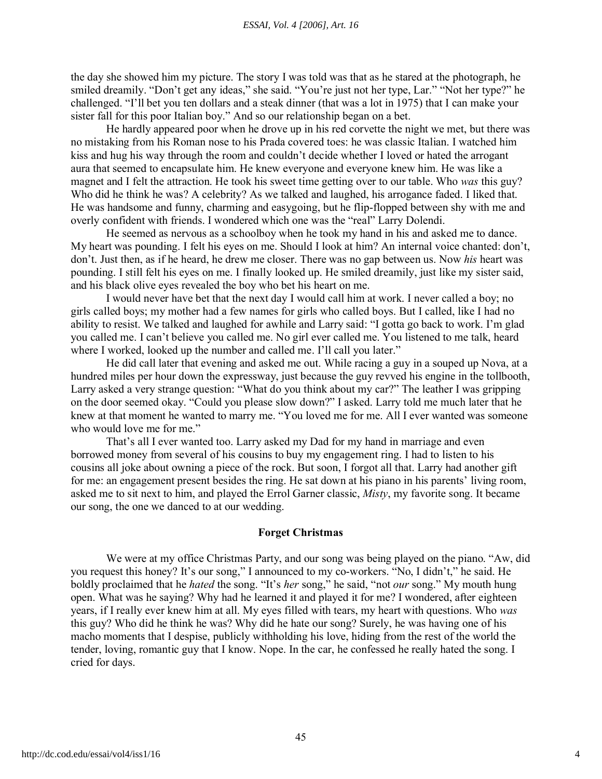the day she showed him my picture. The story I was told was that as he stared at the photograph, he smiled dreamily. "Don't get any ideas," she said. "You're just not her type, Lar." "Not her type?" he challenged. "I'll bet you ten dollars and a steak dinner (that was a lot in 1975) that I can make your sister fall for this poor Italian boy." And so our relationship began on a bet.

He hardly appeared poor when he drove up in his red corvette the night we met, but there was no mistaking from his Roman nose to his Prada covered toes: he was classic Italian. I watched him kiss and hug his way through the room and couldn't decide whether I loved or hated the arrogant aura that seemed to encapsulate him. He knew everyone and everyone knew him. He was like a magnet and I felt the attraction. He took his sweet time getting over to our table. Who *was* this guy? Who did he think he was? A celebrity? As we talked and laughed, his arrogance faded. I liked that. He was handsome and funny, charming and easygoing, but he flip-flopped between shy with me and overly confident with friends. I wondered which one was the "real" Larry Dolendi.

He seemed as nervous as a schoolboy when he took my hand in his and asked me to dance. My heart was pounding. I felt his eyes on me. Should I look at him? An internal voice chanted: don't, don't. Just then, as if he heard, he drew me closer. There was no gap between us. Now *his* heart was pounding. I still felt his eyes on me. I finally looked up. He smiled dreamily, just like my sister said, and his black olive eyes revealed the boy who bet his heart on me.

I would never have bet that the next day I would call him at work. I never called a boy; no girls called boys; my mother had a few names for girls who called boys. But I called, like I had no ability to resist. We talked and laughed for awhile and Larry said: "I gotta go back to work. I'm glad you called me. I can't believe you called me. No girl ever called me. You listened to me talk, heard where I worked, looked up the number and called me. I'll call you later."

He did call later that evening and asked me out. While racing a guy in a souped up Nova, at a hundred miles per hour down the expressway, just because the guy revved his engine in the tollbooth, Larry asked a very strange question: "What do you think about my car?" The leather I was gripping on the door seemed okay. "Could you please slow down?" I asked. Larry told me much later that he knew at that moment he wanted to marry me. "You loved me for me. All I ever wanted was someone who would love me for me."

That's all I ever wanted too. Larry asked my Dad for my hand in marriage and even borrowed money from several of his cousins to buy my engagement ring. I had to listen to his cousins all joke about owning a piece of the rock. But soon, I forgot all that. Larry had another gift for me: an engagement present besides the ring. He sat down at his piano in his parents' living room, asked me to sit next to him, and played the Errol Garner classic, *Misty*, my favorite song. It became our song, the one we danced to at our wedding.

#### **Forget Christmas**

We were at my office Christmas Party, and our song was being played on the piano. "Aw, did you request this honey? It's our song," I announced to my co-workers. "No, I didn't," he said. He boldly proclaimed that he *hated* the song. "It's *her* song," he said, "not *our* song." My mouth hung open. What was he saying? Why had he learned it and played it for me? I wondered, after eighteen years, if I really ever knew him at all. My eyes filled with tears, my heart with questions. Who *was* this guy? Who did he think he was? Why did he hate our song? Surely, he was having one of his macho moments that I despise, publicly withholding his love, hiding from the rest of the world the tender, loving, romantic guy that I know. Nope. In the car, he confessed he really hated the song. I cried for days.

4